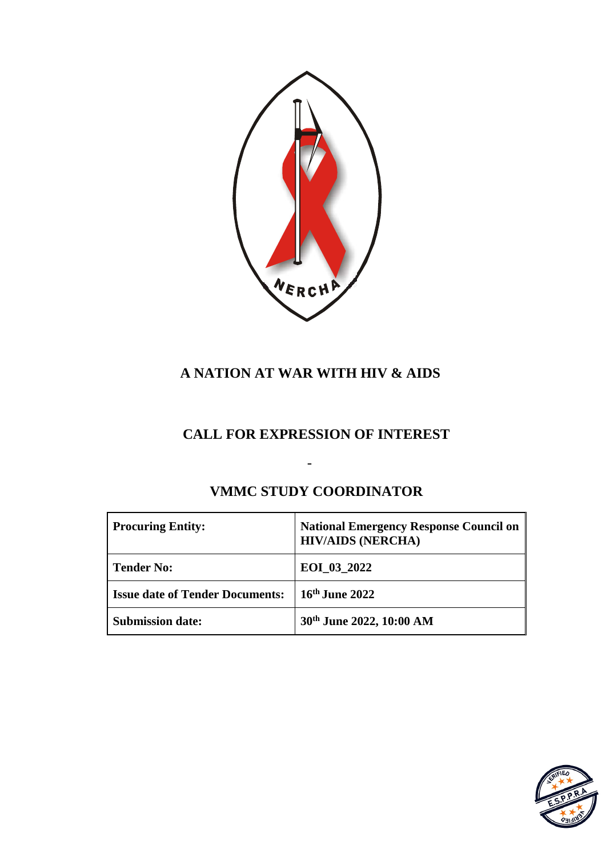

# **A NATION AT WAR WITH HIV & AIDS**

# **CALL FOR EXPRESSION OF INTEREST**

| <b>Procuring Entity:</b>               | <b>National Emergency Response Council on</b><br><b>HIV/AIDS (NERCHA)</b> |
|----------------------------------------|---------------------------------------------------------------------------|
| Tender No:                             | EOI_03_2022                                                               |
| <b>Issue date of Tender Documents:</b> | 16th June 2022                                                            |
| <b>Submission date:</b>                | 30th June 2022, 10:00 AM                                                  |

# **VMMC STUDY COORDINATOR**

-

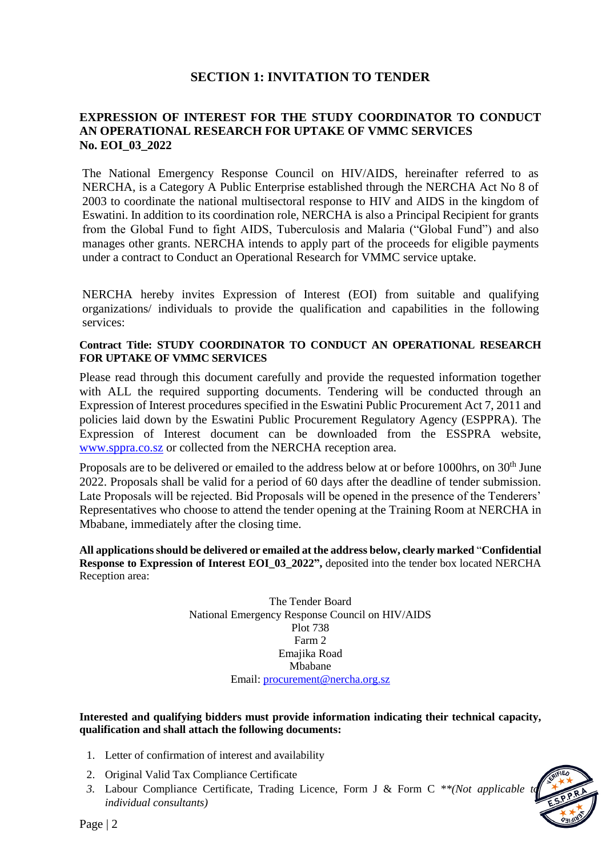## **SECTION 1: INVITATION TO TENDER**

#### **EXPRESSION OF INTEREST FOR THE STUDY COORDINATOR TO CONDUCT AN OPERATIONAL RESEARCH FOR UPTAKE OF VMMC SERVICES No. EOI\_03\_2022**

The National Emergency Response Council on HIV/AIDS, hereinafter referred to as NERCHA, is a Category A Public Enterprise established through the NERCHA Act No 8 of 2003 to coordinate the national multisectoral response to HIV and AIDS in the kingdom of Eswatini. In addition to its coordination role, NERCHA is also a Principal Recipient for grants from the Global Fund to fight AIDS, Tuberculosis and Malaria ("Global Fund") and also manages other grants. NERCHA intends to apply part of the proceeds for eligible payments under a contract to Conduct an Operational Research for VMMC service uptake.

NERCHA hereby invites Expression of Interest (EOI) from suitable and qualifying organizations/ individuals to provide the qualification and capabilities in the following services:

#### **Contract Title: STUDY COORDINATOR TO CONDUCT AN OPERATIONAL RESEARCH FOR UPTAKE OF VMMC SERVICES**

Please read through this document carefully and provide the requested information together with ALL the required supporting documents. Tendering will be conducted through an Expression of Interest procedures specified in the Eswatini Public Procurement Act 7, 2011 and policies laid down by the Eswatini Public Procurement Regulatory Agency (ESPPRA). The Expression of Interest document can be downloaded from the ESSPRA website, [www.sppra.co.sz](http://www.sppra.co.sz/) or collected from the NERCHA reception area.

Proposals are to be delivered or emailed to the address below at or before 1000hrs, on 30<sup>th</sup> June 2022. Proposals shall be valid for a period of 60 days after the deadline of tender submission. Late Proposals will be rejected. Bid Proposals will be opened in the presence of the Tenderers' Representatives who choose to attend the tender opening at the Training Room at NERCHA in Mbabane, immediately after the closing time.

**All applications should be delivered or emailed at the address below, clearly marked** "**Confidential Response to Expression of Interest EOI\_03\_2022",** deposited into the tender box located NERCHA Reception area:

> The Tender Board National Emergency Response Council on HIV/AIDS Plot 738 Farm 2 Emajika Road Mbabane Email: [procurement@nercha.org.sz](mailto:procurement@nercha.org.sz)

**Interested and qualifying bidders must provide information indicating their technical capacity, qualification and shall attach the following documents:**

- 1. Letter of confirmation of interest and availability
- 2. Original Valid Tax Compliance Certificate
- *3.* Labour Compliance Certificate, Trading Licence, Form J & Form C *\*\*(Not applicable to individual consultants)*

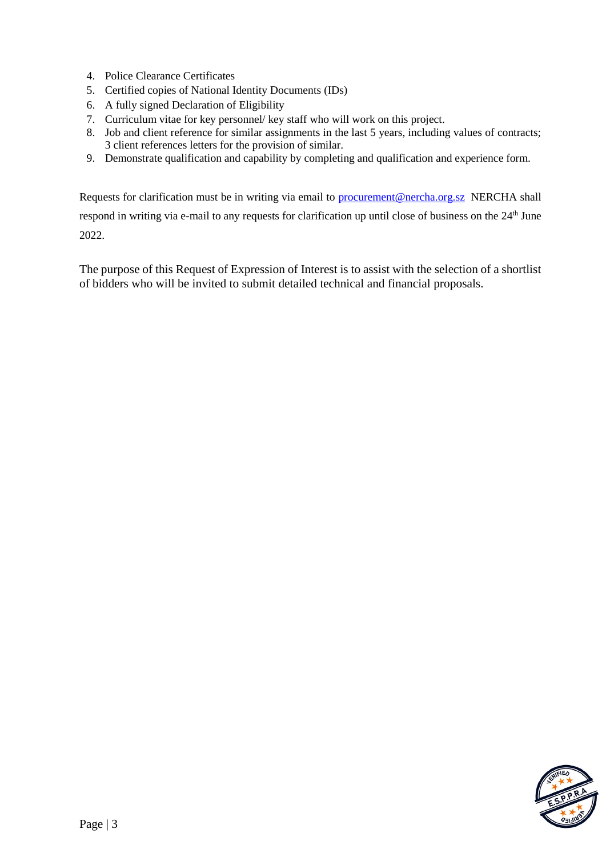- 4. Police Clearance Certificates
- 5. Certified copies of National Identity Documents (IDs)
- 6. A fully signed Declaration of Eligibility
- 7. Curriculum vitae for key personnel/ key staff who will work on this project.
- 8. Job and client reference for similar assignments in the last 5 years, including values of contracts; 3 client references letters for the provision of similar.
- 9. Demonstrate qualification and capability by completing and qualification and experience form.

Requests for clarification must be in writing via email to [procurement@nercha.org.sz](mailto:procurement@nercha.org.sz) NERCHA shall respond in writing via e-mail to any requests for clarification up until close of business on the 24<sup>th</sup> June 2022.

The purpose of this Request of Expression of Interest is to assist with the selection of a shortlist of bidders who will be invited to submit detailed technical and financial proposals.

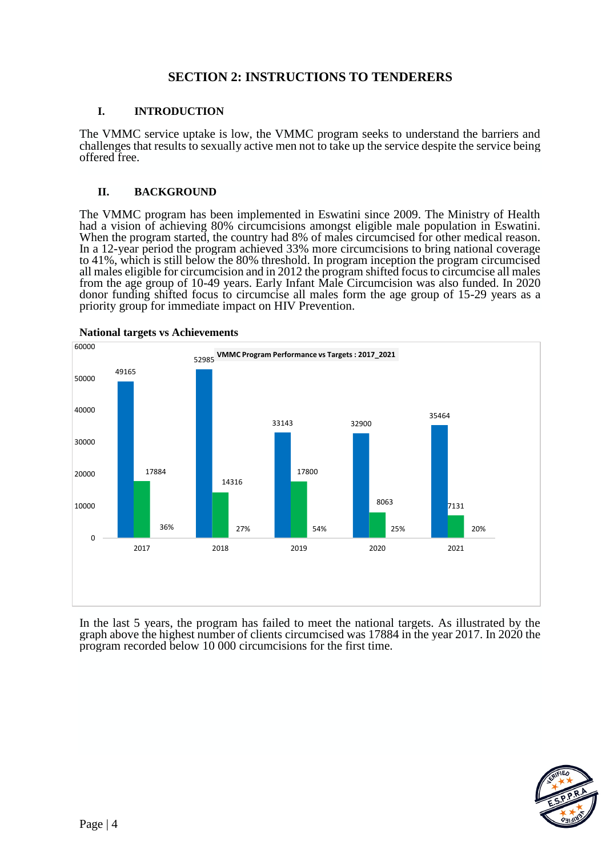### **SECTION 2: INSTRUCTIONS TO TENDERERS**

#### **I. INTRODUCTION**

The VMMC service uptake is low, the VMMC program seeks to understand the barriers and challenges that results to sexually active men not to take up the service despite the service being offered free.

#### **II. BACKGROUND**

The VMMC program has been implemented in Eswatini since 2009. The Ministry of Health had a vision of achieving 80% circumcisions amongst eligible male population in Eswatini. When the program started, the country had 8% of males circumcised for other medical reason. In a 12-year period the program achieved 33% more circumcisions to bring national coverage to 41%, which is still below the 80% threshold. In program inception the program circumcised all males eligible for circumcision and in 2012 the program shifted focus to circumcise all males from the age group of 10-49 years. Early Infant Male Circumcision was also funded. In 2020 donor funding shifted focus to circumcise all males form the age group of 15-29 years as a priority group for immediate impact on HIV Prevention.



In the last 5 years, the program has failed to meet the national targets. As illustrated by the graph above the highest number of clients circumcised was 17884 in the year 2017. In 2020 the program recorded below 10 000 circumcisions for the first time.

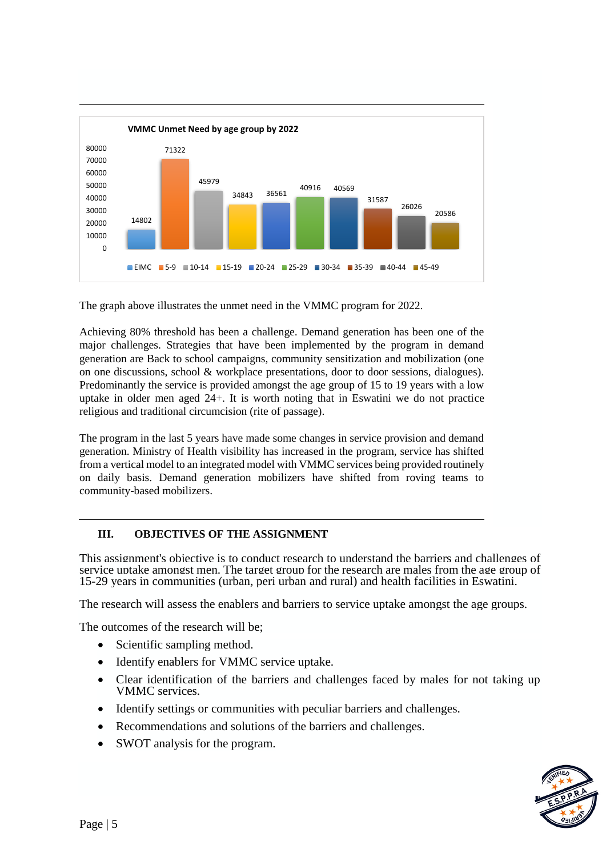

The graph above illustrates the unmet need in the VMMC program for 2022.

Achieving 80% threshold has been a challenge. Demand generation has been one of the major challenges. Strategies that have been implemented by the program in demand generation are Back to school campaigns, community sensitization and mobilization (one on one discussions, school & workplace presentations, door to door sessions, dialogues). Predominantly the service is provided amongst the age group of 15 to 19 years with a low uptake in older men aged 24+. It is worth noting that in Eswatini we do not practice religious and traditional circumcision (rite of passage).

The program in the last 5 years have made some changes in service provision and demand generation. Ministry of Health visibility has increased in the program, service has shifted from a vertical model to an integrated model with VMMC services being provided routinely on daily basis. Demand generation mobilizers have shifted from roving teams to community-based mobilizers.

#### **III. OBJECTIVES OF THE ASSIGNMENT**

This assignment's objective is to conduct research to understand the barriers and challenges of service uptake amongst men. The target group for the research are males from the age group of 15-29 years in communities (urban, peri urban and rural) and health facilities in Eswatini.

The research will assess the enablers and barriers to service uptake amongst the age groups.

The outcomes of the research will be;

- Scientific sampling method.
- Identify enablers for VMMC service uptake.
- Clear identification of the barriers and challenges faced by males for not taking up VMMC services.
- Identify settings or communities with peculiar barriers and challenges.
- Recommendations and solutions of the barriers and challenges.
- SWOT analysis for the program.

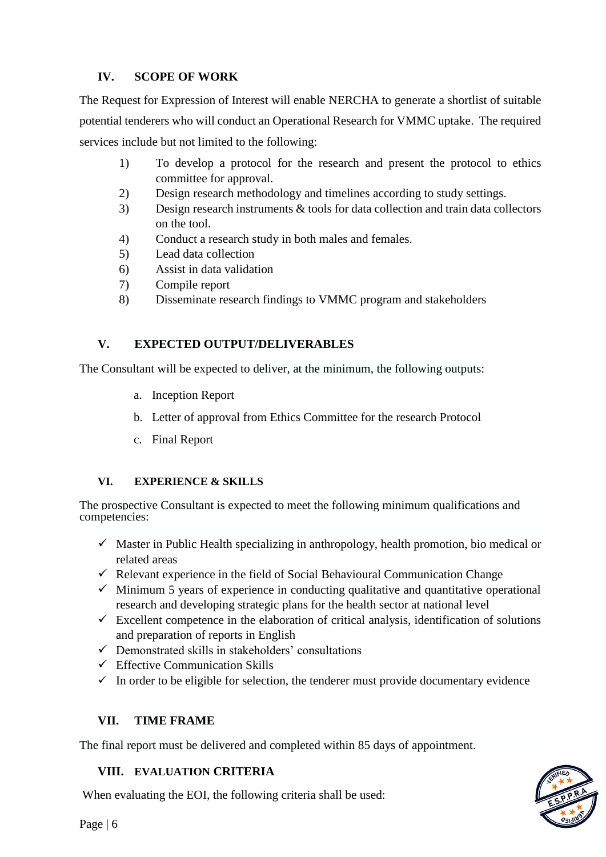# **IV. SCOPE OF WORK**

The Request for Expression of Interest will enable NERCHA to generate a shortlist of suitable potential tenderers who will conduct an Operational Research for VMMC uptake. The required services include but not limited to the following:

- 1) To develop a protocol for the research and present the protocol to ethics committee for approval.
- 2) Design research methodology and timelines according to study settings.
- 3) Design research instruments & tools for data collection and train data collectors on the tool.
- 4) Conduct a research study in both males and females.
- 5) Lead data collection
- 6) Assist in data validation
- 7) Compile report
- 8) Disseminate research findings to VMMC program and stakeholders

# **V. EXPECTED OUTPUT/DELIVERABLES**

The Consultant will be expected to deliver, at the minimum, the following outputs:

- a. Inception Report
- b. Letter of approval from Ethics Committee for the research Protocol
- c. Final Report

### **VI. EXPERIENCE & SKILLS**

The prospective Consultant is expected to meet the following minimum qualifications and competencies:

- $\checkmark$  Master in Public Health specializing in anthropology, health promotion, bio medical or related areas
- $\checkmark$  Relevant experience in the field of Social Behavioural Communication Change
- $\checkmark$  Minimum 5 years of experience in conducting qualitative and quantitative operational research and developing strategic plans for the health sector at national level
- $\checkmark$  Excellent competence in the elaboration of critical analysis, identification of solutions and preparation of reports in English
- $\checkmark$  Demonstrated skills in stakeholders' consultations
- $\checkmark$  Effective Communication Skills
- $\checkmark$  In order to be eligible for selection, the tenderer must provide documentary evidence

### **VII. TIME FRAME**

The final report must be delivered and completed within 85 days of appointment.

# **VIII. EVALUATION CRITERIA**

When evaluating the EOI, the following criteria shall be used: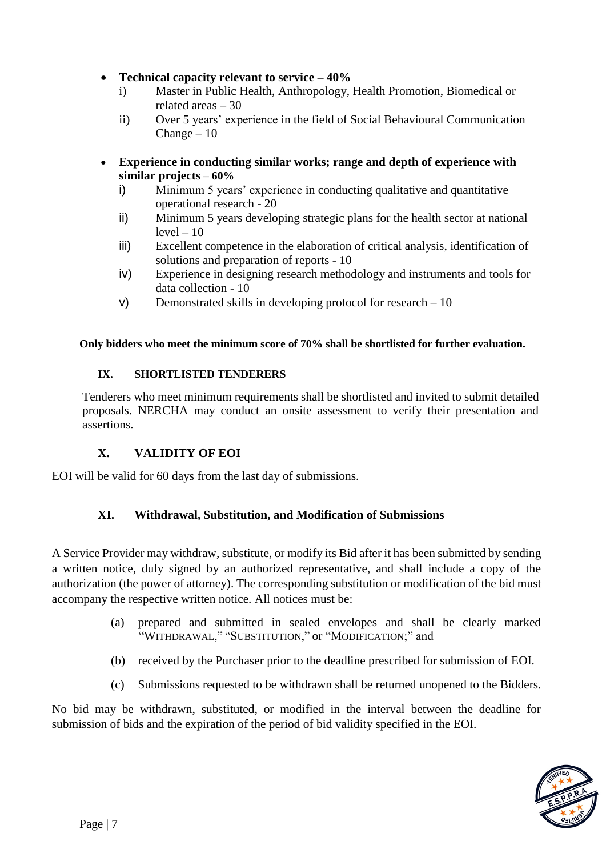### **Technical capacity relevant to service – 40%**

- i) Master in Public Health, Anthropology, Health Promotion, Biomedical or related areas – 30
- ii) Over 5 years' experience in the field of Social Behavioural Communication  $Change - 10$
- **Experience in conducting similar works; range and depth of experience with similar projects – 60%** 
	- i) Minimum 5 years' experience in conducting qualitative and quantitative operational research - 20
	- ii) Minimum 5 years developing strategic plans for the health sector at national  $level - 10$
	- iii) Excellent competence in the elaboration of critical analysis, identification of solutions and preparation of reports - 10
	- iv) Experience in designing research methodology and instruments and tools for data collection - 10
	- v) Demonstrated skills in developing protocol for research 10

#### **Only bidders who meet the minimum score of 70% shall be shortlisted for further evaluation.**

#### **IX. SHORTLISTED TENDERERS**

Tenderers who meet minimum requirements shall be shortlisted and invited to submit detailed proposals. NERCHA may conduct an onsite assessment to verify their presentation and assertions.

### **X. VALIDITY OF EOI**

EOI will be valid for 60 days from the last day of submissions.

### **XI. Withdrawal, Substitution, and Modification of Submissions**

A Service Provider may withdraw, substitute, or modify its Bid after it has been submitted by sending a written notice, duly signed by an authorized representative, and shall include a copy of the authorization (the power of attorney). The corresponding substitution or modification of the bid must accompany the respective written notice. All notices must be:

- (a) prepared and submitted in sealed envelopes and shall be clearly marked "WITHDRAWAL," "SUBSTITUTION," or "MODIFICATION;" and
- (b) received by the Purchaser prior to the deadline prescribed for submission of EOI.
- (c) Submissions requested to be withdrawn shall be returned unopened to the Bidders.

No bid may be withdrawn, substituted, or modified in the interval between the deadline for submission of bids and the expiration of the period of bid validity specified in the EOI.

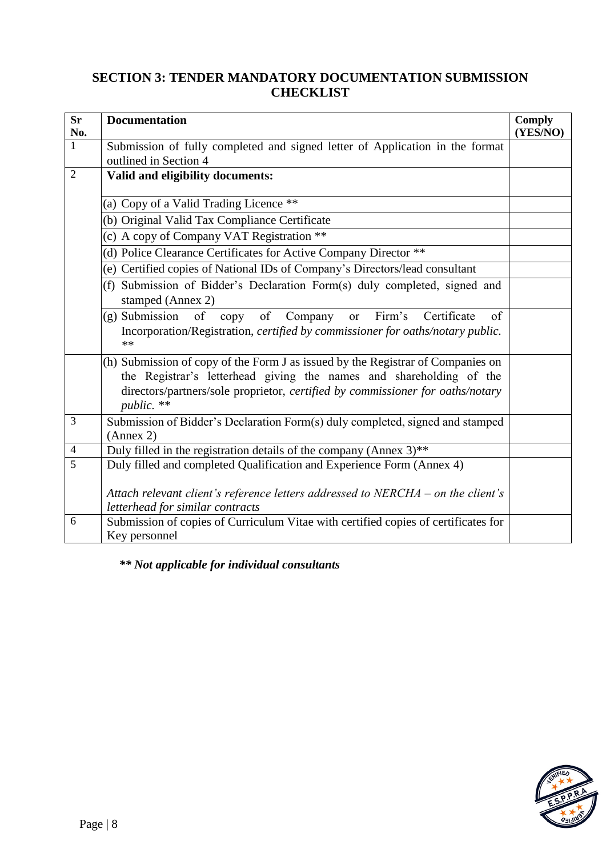# **SECTION 3: TENDER MANDATORY DOCUMENTATION SUBMISSION CHECKLIST**

| <b>Sr</b><br>No. | <b>Documentation</b>                                                                                                                                                                                                                                   | <b>Comply</b><br>(YES/NO) |
|------------------|--------------------------------------------------------------------------------------------------------------------------------------------------------------------------------------------------------------------------------------------------------|---------------------------|
| $\mathbf{1}$     | Submission of fully completed and signed letter of Application in the format<br>outlined in Section 4                                                                                                                                                  |                           |
| $\overline{2}$   | Valid and eligibility documents:                                                                                                                                                                                                                       |                           |
|                  | (a) Copy of a Valid Trading Licence **                                                                                                                                                                                                                 |                           |
|                  | (b) Original Valid Tax Compliance Certificate                                                                                                                                                                                                          |                           |
|                  | (c) A copy of Company VAT Registration **                                                                                                                                                                                                              |                           |
|                  | (d) Police Clearance Certificates for Active Company Director **                                                                                                                                                                                       |                           |
|                  | (e) Certified copies of National IDs of Company's Directors/lead consultant                                                                                                                                                                            |                           |
|                  | (f) Submission of Bidder's Declaration Form(s) duly completed, signed and<br>stamped (Annex 2)                                                                                                                                                         |                           |
|                  | (g) Submission of copy of Company<br>Firm's<br>Certificate<br>of<br>or<br>Incorporation/Registration, certified by commissioner for oaths/notary public.<br>$**$                                                                                       |                           |
|                  | (h) Submission of copy of the Form J as issued by the Registrar of Companies on<br>the Registrar's letterhead giving the names and shareholding of the<br>directors/partners/sole proprietor, certified by commissioner for oaths/notary<br>public. ** |                           |
| 3                | Submission of Bidder's Declaration Form(s) duly completed, signed and stamped<br>(Annex 2)                                                                                                                                                             |                           |
| $\overline{4}$   | Duly filled in the registration details of the company (Annex $3$ )**                                                                                                                                                                                  |                           |
| 5                | Duly filled and completed Qualification and Experience Form (Annex 4)                                                                                                                                                                                  |                           |
|                  | Attach relevant client's reference letters addressed to $NERCHA - on$ the client's<br>letterhead for similar contracts                                                                                                                                 |                           |
| 6                | Submission of copies of Curriculum Vitae with certified copies of certificates for<br>Key personnel                                                                                                                                                    |                           |

*\*\* Not applicable for individual consultants*

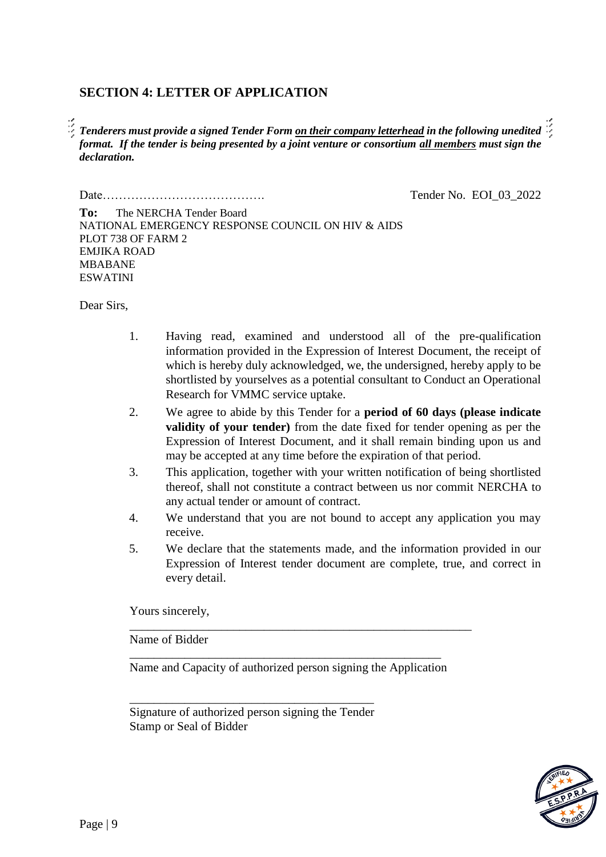### **SECTION 4: LETTER OF APPLICATION**

*Tenderers must provide a signed Tender Form on their company letterhead in the following unedited format. If the tender is being presented by a joint venture or consortium all members must sign the declaration.*

Date…………………………………. Tender No. EOI\_03\_2022

**To:** The NERCHA Tender Board NATIONAL EMERGENCY RESPONSE COUNCIL ON HIV & AIDS PLOT 738 OF FARM 2 EMJIKA ROAD MBABANE ESWATINI

Dear Sirs,

- 1. Having read, examined and understood all of the pre-qualification information provided in the Expression of Interest Document, the receipt of which is hereby duly acknowledged, we, the undersigned, hereby apply to be shortlisted by yourselves as a potential consultant to Conduct an Operational Research for VMMC service uptake.
- 2. We agree to abide by this Tender for a **period of 60 days (please indicate validity of your tender)** from the date fixed for tender opening as per the Expression of Interest Document, and it shall remain binding upon us and may be accepted at any time before the expiration of that period.
- 3. This application, together with your written notification of being shortlisted thereof, shall not constitute a contract between us nor commit NERCHA to any actual tender or amount of contract.
- 4. We understand that you are not bound to accept any application you may receive.
- 5. We declare that the statements made, and the information provided in our Expression of Interest tender document are complete, true, and correct in every detail.

Yours sincerely,

Name of Bidder

\_\_\_\_\_\_\_\_\_\_\_\_\_\_\_\_\_\_\_\_\_\_\_\_\_\_\_\_\_\_\_\_\_\_\_\_\_\_\_\_\_\_\_\_\_\_\_\_\_\_\_ Name and Capacity of authorized person signing the Application

\_\_\_\_\_\_\_\_\_\_\_\_\_\_\_\_\_\_\_\_\_\_\_\_\_\_\_\_\_\_\_\_\_\_\_\_\_\_\_\_\_\_\_\_\_\_\_\_\_\_\_\_\_\_\_\_

Signature of authorized person signing the Tender Stamp or Seal of Bidder

\_\_\_\_\_\_\_\_\_\_\_\_\_\_\_\_\_\_\_\_\_\_\_\_\_\_\_\_\_\_\_\_\_\_\_\_\_\_\_\_

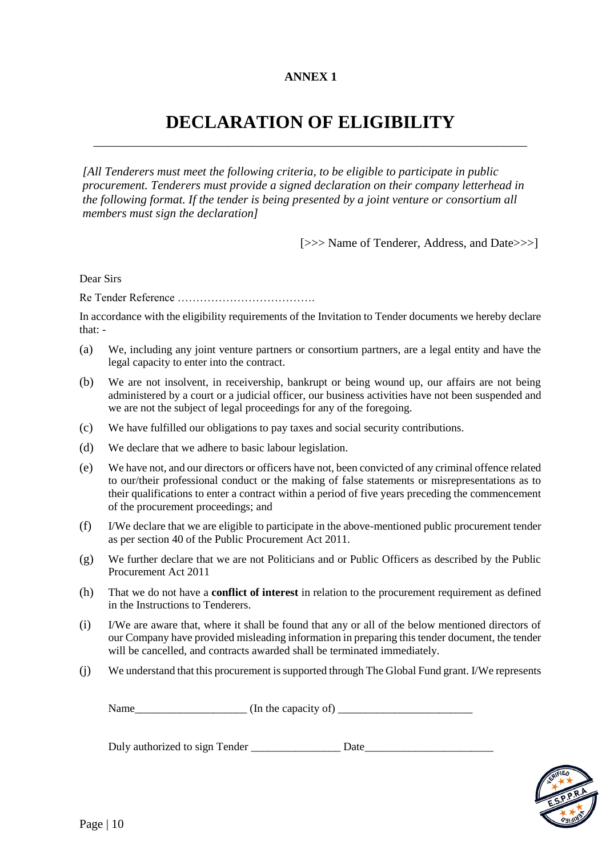#### **ANNEX 1**

# **DECLARATION OF ELIGIBILITY** \_\_\_\_\_\_\_\_\_\_\_\_\_\_\_\_\_\_\_\_\_\_\_\_\_\_\_\_\_\_\_\_\_\_\_\_\_\_\_\_\_\_\_\_\_\_\_\_\_\_\_\_\_\_\_\_\_\_\_\_\_\_\_\_\_\_\_\_\_\_\_

*[All Tenderers must meet the following criteria, to be eligible to participate in public procurement. Tenderers must provide a signed declaration on their company letterhead in the following format. If the tender is being presented by a joint venture or consortium all members must sign the declaration]* 

[>>> Name of Tenderer, Address, and Date>>>]

Dear Sirs

Re Tender Reference ……………………………….

In accordance with the eligibility requirements of the Invitation to Tender documents we hereby declare that: -

- (a) We, including any joint venture partners or consortium partners, are a legal entity and have the legal capacity to enter into the contract.
- (b) We are not insolvent, in receivership, bankrupt or being wound up, our affairs are not being administered by a court or a judicial officer, our business activities have not been suspended and we are not the subject of legal proceedings for any of the foregoing.
- (c) We have fulfilled our obligations to pay taxes and social security contributions.
- (d) We declare that we adhere to basic labour legislation.
- (e) We have not, and our directors or officers have not, been convicted of any criminal offence related to our/their professional conduct or the making of false statements or misrepresentations as to their qualifications to enter a contract within a period of five years preceding the commencement of the procurement proceedings; and
- (f) I/We declare that we are eligible to participate in the above-mentioned public procurement tender as per section 40 of the Public Procurement Act 2011.
- (g) We further declare that we are not Politicians and or Public Officers as described by the Public Procurement Act 2011
- (h) That we do not have a **conflict of interest** in relation to the procurement requirement as defined in the Instructions to Tenderers.
- (i) I/We are aware that, where it shall be found that any or all of the below mentioned directors of our Company have provided misleading information in preparing this tender document, the tender will be cancelled, and contracts awarded shall be terminated immediately.
- (j) We understand that this procurement is supported through The Global Fund grant. I/We represents

Name\_\_\_\_\_\_\_\_\_\_\_\_\_\_\_\_\_\_\_\_ (In the capacity of) \_\_\_\_\_\_\_\_\_\_\_\_\_\_\_\_\_\_\_\_\_\_\_\_

Duly authorized to sign Tender \_\_\_\_\_\_\_\_\_\_\_\_\_\_\_\_\_\_\_\_\_\_\_ Date\_\_\_\_\_\_\_\_\_\_\_\_\_\_\_\_\_\_\_\_\_

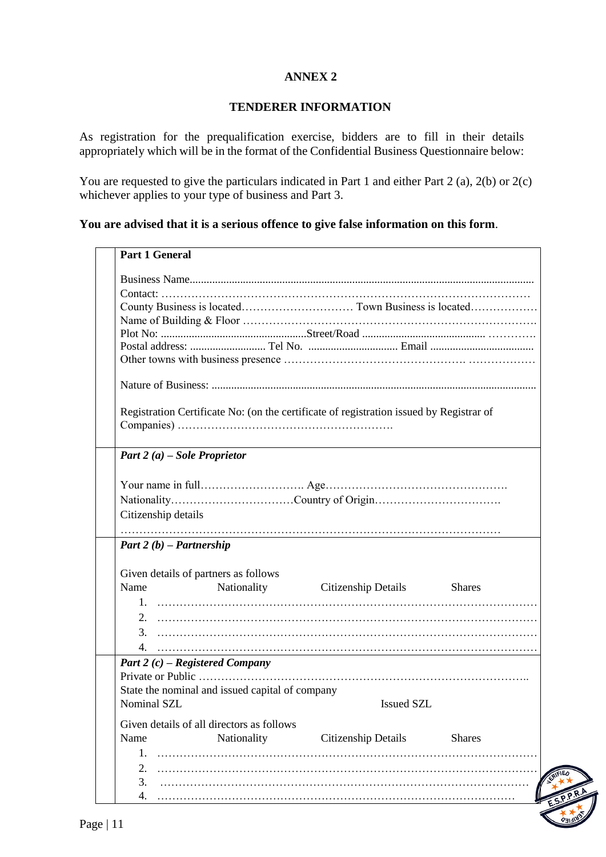#### **ANNEX 2**

#### **TENDERER INFORMATION**

As registration for the prequalification exercise, bidders are to fill in their details appropriately which will be in the format of the Confidential Business Questionnaire below:

You are requested to give the particulars indicated in Part 1 and either Part 2 (a), 2(b) or 2(c) whichever applies to your type of business and Part 3.

#### **You are advised that it is a serious offence to give false information on this form**.

# **Part 1 General**

|                                   |                                                 | Registration Certificate No: (on the certificate of registration issued by Registrar of |               |
|-----------------------------------|-------------------------------------------------|-----------------------------------------------------------------------------------------|---------------|
|                                   |                                                 |                                                                                         |               |
|                                   |                                                 |                                                                                         |               |
| Part 2 (a) – Sole Proprietor      |                                                 |                                                                                         |               |
|                                   |                                                 |                                                                                         |               |
|                                   |                                                 |                                                                                         |               |
|                                   |                                                 |                                                                                         |               |
| Citizenship details               |                                                 |                                                                                         |               |
|                                   |                                                 |                                                                                         |               |
|                                   |                                                 |                                                                                         |               |
| Part 2 $(b)$ – Partnership        |                                                 |                                                                                         |               |
|                                   |                                                 |                                                                                         |               |
|                                   | Given details of partners as follows            |                                                                                         |               |
| Name                              |                                                 | Nationality Citizenship Details Shares                                                  |               |
|                                   |                                                 |                                                                                         |               |
|                                   |                                                 |                                                                                         |               |
|                                   |                                                 |                                                                                         |               |
|                                   |                                                 |                                                                                         |               |
| Part 2 $(c)$ – Registered Company |                                                 |                                                                                         |               |
|                                   |                                                 |                                                                                         |               |
|                                   |                                                 |                                                                                         |               |
|                                   | State the nominal and issued capital of company |                                                                                         |               |
| Nominal SZL                       |                                                 | <b>Issued SZL</b>                                                                       |               |
|                                   | Given details of all directors as follows       |                                                                                         |               |
| Name                              | Nationality                                     | Citizenship Details                                                                     | <b>Shares</b> |
| 1.                                |                                                 |                                                                                         |               |
|                                   |                                                 |                                                                                         |               |
|                                   |                                                 |                                                                                         |               |
| 2.                                |                                                 |                                                                                         |               |
| 3.<br>4.                          |                                                 |                                                                                         |               |

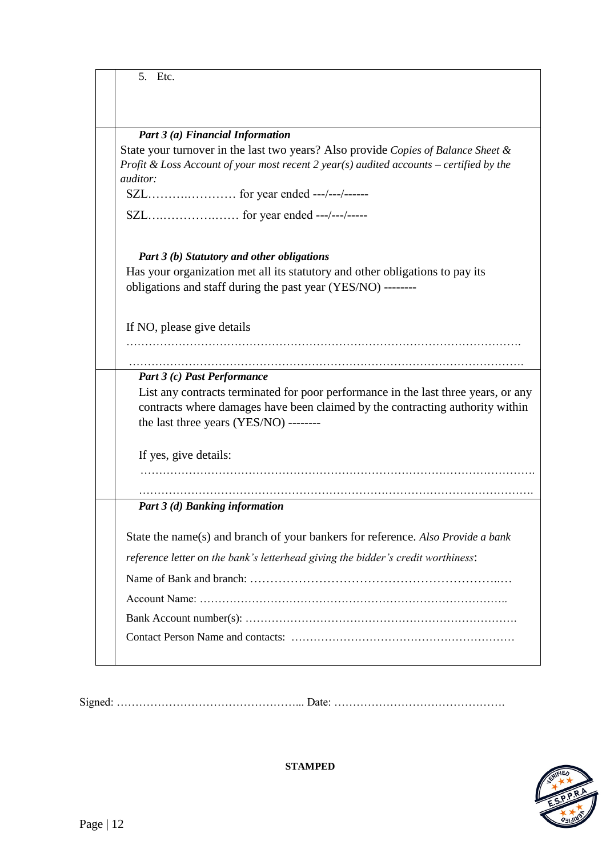| 5. Etc.                                                                                                                                                             |
|---------------------------------------------------------------------------------------------------------------------------------------------------------------------|
|                                                                                                                                                                     |
|                                                                                                                                                                     |
| Part 3 (a) Financial Information                                                                                                                                    |
| State your turnover in the last two years? Also provide Copies of Balance Sheet &                                                                                   |
| Profit & Loss Account of your most recent 2 year(s) audited accounts – certified by the                                                                             |
| <i>auditor:</i>                                                                                                                                                     |
|                                                                                                                                                                     |
| SZL for year ended ---/---/-----                                                                                                                                    |
|                                                                                                                                                                     |
| Part 3 (b) Statutory and other obligations                                                                                                                          |
| Has your organization met all its statutory and other obligations to pay its                                                                                        |
| obligations and staff during the past year (YES/NO) --------                                                                                                        |
|                                                                                                                                                                     |
| If NO, please give details                                                                                                                                          |
|                                                                                                                                                                     |
|                                                                                                                                                                     |
| Part 3 (c) Past Performance                                                                                                                                         |
| List any contracts terminated for poor performance in the last three years, or any<br>contracts where damages have been claimed by the contracting authority within |
| the last three years (YES/NO) --------                                                                                                                              |
|                                                                                                                                                                     |
| If yes, give details:                                                                                                                                               |
|                                                                                                                                                                     |
|                                                                                                                                                                     |
| Part 3 (d) Banking information                                                                                                                                      |
|                                                                                                                                                                     |
| State the name(s) and branch of your bankers for reference. Also Provide a bank                                                                                     |
| reference letter on the bank's letterhead giving the bidder's credit worthiness:                                                                                    |
|                                                                                                                                                                     |
|                                                                                                                                                                     |
|                                                                                                                                                                     |
|                                                                                                                                                                     |
|                                                                                                                                                                     |

Signed: …………………………………………... Date: ……………………………………….



**STAMPED**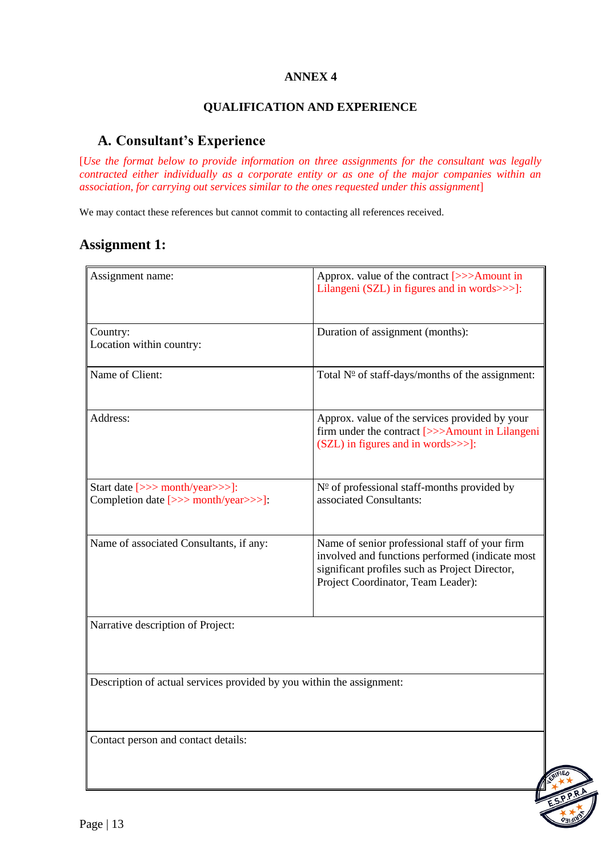### **ANNEX 4**

#### **QUALIFICATION AND EXPERIENCE**

# **A. Consultant's Experience**

[*Use the format below to provide information on three assignments for the consultant was legally contracted either individually as a corporate entity or as one of the major companies within an association, for carrying out services similar to the ones requested under this assignment*]

We may contact these references but cannot commit to contacting all references received.

# **Assignment 1:**

| Assignment name:                                                        | Approx. value of the contract [>>>Amount in<br>Lilangeni (SZL) in figures and in words>>>]:                                                                                               |  |
|-------------------------------------------------------------------------|-------------------------------------------------------------------------------------------------------------------------------------------------------------------------------------------|--|
| Country:<br>Location within country:                                    | Duration of assignment (months):                                                                                                                                                          |  |
| Name of Client:                                                         | Total $N^{\circ}$ of staff-days/months of the assignment:                                                                                                                                 |  |
| Address:                                                                | Approx. value of the services provided by your<br>firm under the contract [>>>Amount in Lilangeni<br>(SZL) in figures and in words>>>]:                                                   |  |
| Start date [>>> month/year>>>]:<br>Completion date [>>> month/year>>>]: | $N^{\omega}$ of professional staff-months provided by<br>associated Consultants:                                                                                                          |  |
| Name of associated Consultants, if any:                                 | Name of senior professional staff of your firm<br>involved and functions performed (indicate most<br>significant profiles such as Project Director,<br>Project Coordinator, Team Leader): |  |
| Narrative description of Project:                                       |                                                                                                                                                                                           |  |
| Description of actual services provided by you within the assignment:   |                                                                                                                                                                                           |  |
| Contact person and contact details:                                     |                                                                                                                                                                                           |  |

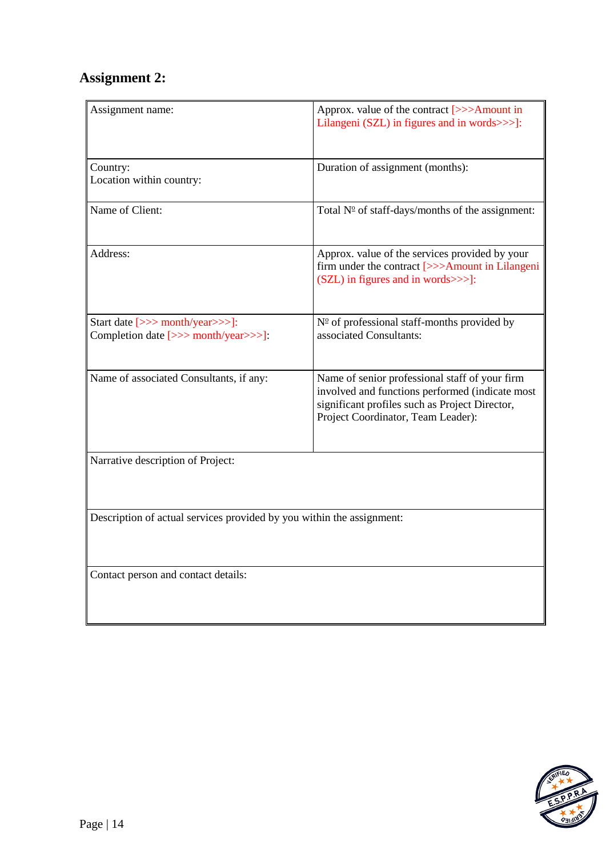# **Assignment 2:**

| Assignment name:                                                        | Approx. value of the contract [>>>Amount in<br>Lilangeni (SZL) in figures and in words>>>]:                                                                                               |  |
|-------------------------------------------------------------------------|-------------------------------------------------------------------------------------------------------------------------------------------------------------------------------------------|--|
| Country:<br>Location within country:                                    | Duration of assignment (months):                                                                                                                                                          |  |
| Name of Client:                                                         | Total $N^{\circ}$ of staff-days/months of the assignment:                                                                                                                                 |  |
| Address:                                                                | Approx. value of the services provided by your<br>firm under the contract [>>>Amount in Lilangeni<br>(SZL) in figures and in words>>>]:                                                   |  |
| Start date [>>> month/year>>>]:<br>Completion date [>>> month/year>>>]: | $N^{\circ}$ of professional staff-months provided by<br>associated Consultants:                                                                                                           |  |
| Name of associated Consultants, if any:                                 | Name of senior professional staff of your firm<br>involved and functions performed (indicate most<br>significant profiles such as Project Director,<br>Project Coordinator, Team Leader): |  |
| Narrative description of Project:                                       |                                                                                                                                                                                           |  |
| Description of actual services provided by you within the assignment:   |                                                                                                                                                                                           |  |
| Contact person and contact details:                                     |                                                                                                                                                                                           |  |